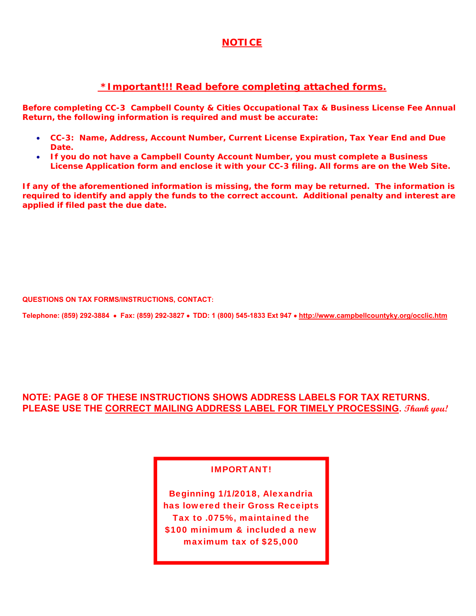# **NOTICE**

# **\*Important!!! Read before completing attached forms.**

**Before completing** *CC-3 Campbell County & Cities Occupational Tax & Business License Fee Annual Return,* **the following information is required and must be accurate:**

- **CC-3: Name, Address, Account Number, Current License Expiration, Tax Year End and Due Date.**
- **If you do not have a Campbell County Account Number, you must complete a Business License Application form and enclose it with your CC-3 filing. All forms are on the Web Site.**

**If any of the aforementioned information is missing, the form may be returned. The information is required to identify and apply the funds to the correct account. Additional penalty and interest are applied if filed past the due date.**

**QUESTIONS ON TAX FORMS/INSTRUCTIONS, CONTACT:** 

**Telephone: (859) 292-3884 Fax: (859) 292-3827 TDD: 1 (800) 545-1833 Ext 947 http://www.campbellcountyky.org/occlic.htm** 

# **NOTE: PAGE 8 OF THESE INSTRUCTIONS SHOWS ADDRESS LABELS FOR TAX RETURNS. PLEASE USE THE CORRECT MAILING ADDRESS LABEL FOR TIMELY PROCESSING. Thank you!**

# IMPORTANT!

Beginning 1/1/2018, Alexandria has lowered their Gross Receipts Tax to .075%, maintained the \$100 minimum & included a new maximum tax of \$25,000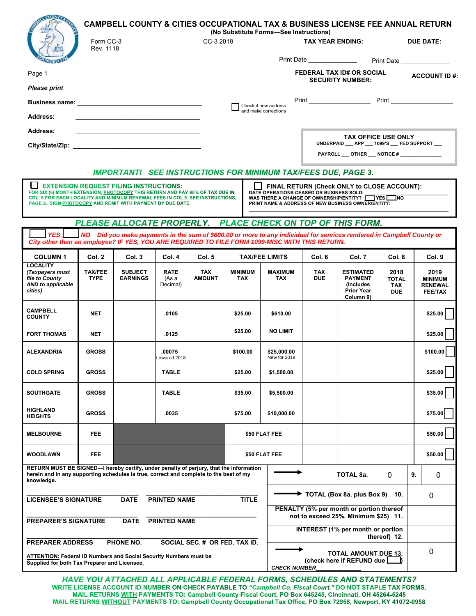|                                                                                                                                                                                                                         | Form CC-3                                                                                                                                                                                                                                                                                                                                                                                                                                                                        |                                                                      |                                  | CC-3 2018                   | (No Substitute Forms-See Instructions) |                              | <b>TAX YEAR ENDING:</b>    |                                                                                                                       |                                                  | <b>CAMPBELL COUNTY &amp; CITIES OCCUPATIONAL TAX &amp; BUSINESS LICENSE FEE ANNUAL RETURN</b><br>DUE DATE: |
|-------------------------------------------------------------------------------------------------------------------------------------------------------------------------------------------------------------------------|----------------------------------------------------------------------------------------------------------------------------------------------------------------------------------------------------------------------------------------------------------------------------------------------------------------------------------------------------------------------------------------------------------------------------------------------------------------------------------|----------------------------------------------------------------------|----------------------------------|-----------------------------|----------------------------------------|------------------------------|----------------------------|-----------------------------------------------------------------------------------------------------------------------|--------------------------------------------------|------------------------------------------------------------------------------------------------------------|
|                                                                                                                                                                                                                         | Rev. 1118                                                                                                                                                                                                                                                                                                                                                                                                                                                                        |                                                                      |                                  |                             |                                        |                              | Print Date _______________ |                                                                                                                       |                                                  |                                                                                                            |
| Page 1                                                                                                                                                                                                                  |                                                                                                                                                                                                                                                                                                                                                                                                                                                                                  |                                                                      |                                  |                             |                                        |                              |                            | <b>FEDERAL TAX ID# OR SOCIAL</b>                                                                                      |                                                  | <b>Print Date</b><br><b>ACCOUNT ID#:</b>                                                                   |
| <b>Please print</b>                                                                                                                                                                                                     |                                                                                                                                                                                                                                                                                                                                                                                                                                                                                  |                                                                      |                                  |                             |                                        |                              |                            | <b>SECURITY NUMBER:</b>                                                                                               |                                                  |                                                                                                            |
|                                                                                                                                                                                                                         |                                                                                                                                                                                                                                                                                                                                                                                                                                                                                  |                                                                      |                                  |                             | Check if new address                   |                              |                            |                                                                                                                       |                                                  |                                                                                                            |
| <b>Address:</b>                                                                                                                                                                                                         |                                                                                                                                                                                                                                                                                                                                                                                                                                                                                  |                                                                      |                                  |                             | and make corrections                   |                              |                            |                                                                                                                       |                                                  |                                                                                                            |
| <b>Address:</b>                                                                                                                                                                                                         |                                                                                                                                                                                                                                                                                                                                                                                                                                                                                  |                                                                      |                                  |                             |                                        |                              |                            | <b>TAX OFFICE USE ONLY</b>                                                                                            |                                                  |                                                                                                            |
|                                                                                                                                                                                                                         |                                                                                                                                                                                                                                                                                                                                                                                                                                                                                  |                                                                      |                                  |                             |                                        |                              |                            | UNDERPAID __ APP __ 1099'S __ FED SUPPORT __<br>PAYROLL ___ OTHER ___ NOTICE # _______________                        |                                                  |                                                                                                            |
|                                                                                                                                                                                                                         |                                                                                                                                                                                                                                                                                                                                                                                                                                                                                  |                                                                      |                                  |                             |                                        |                              |                            |                                                                                                                       |                                                  |                                                                                                            |
|                                                                                                                                                                                                                         |                                                                                                                                                                                                                                                                                                                                                                                                                                                                                  | <b>IMPORTANT! SEE INSTRUCTIONS FOR MINIMUM TAX/FEES DUE, PAGE 3.</b> |                                  |                             |                                        |                              |                            |                                                                                                                       |                                                  |                                                                                                            |
|                                                                                                                                                                                                                         | <b>EXTENSION REQUEST FILING INSTRUCTIONS:</b><br>FINAL RETURN (Check ONLY to CLOSE ACCOUNT):<br>FOR SIX (6) MONTH EXTENSION, PHOTOCOPY THIS RETURN AND PAY 90% OF TAX DUE IN<br>DATE OPERATIONS CEASED OR BUSINESS SOLD:<br>COL. 6 FOR EACH LOCALITY AND MINIMUM RENEWAL FEES IN COL 9. SEE INSTRUCTIONS,<br>WAS THERE A CHANGE OF OWNERSHIP/ENTITY? TWES NO<br>PAGE 2. SIGN PHOTOCOPY AND REMIT WITH PAYMENT BY DUE DATE.<br>PRINT NAME & ADDRESS OF NEW BUSINESS OWNER/ENTITY: |                                                                      |                                  |                             |                                        |                              |                            |                                                                                                                       |                                                  |                                                                                                            |
|                                                                                                                                                                                                                         |                                                                                                                                                                                                                                                                                                                                                                                                                                                                                  |                                                                      |                                  |                             |                                        |                              |                            | PLEASE ALLOCATE PROPERLY. PLACE CHECK ON TOP OF THIS FORM.                                                            |                                                  |                                                                                                            |
| <b>YES</b><br>City other than an employee? IF YES, YOU ARE REQUIRED TO FILE FORM 1099-MISC WITH THIS RETURN.                                                                                                            |                                                                                                                                                                                                                                                                                                                                                                                                                                                                                  |                                                                      |                                  |                             |                                        |                              |                            | NO Did you make payments in the sum of \$600.00 or more to any individual for services rendered in Campbell County or |                                                  |                                                                                                            |
| <b>COLUMN1</b>                                                                                                                                                                                                          | Col. 2                                                                                                                                                                                                                                                                                                                                                                                                                                                                           | Col. 3                                                               | Col. 4                           | Col. 5                      | <b>TAX/FEE LIMITS</b>                  |                              | Col. 6                     | Col. 7                                                                                                                | Col. 8                                           | Col. 9                                                                                                     |
| <b>LOCALITY</b><br>(Taxpayers must<br>file to County<br><b>AND to applicable</b><br>cities)                                                                                                                             | <b>TAX/FEE</b><br><b>TYPE</b>                                                                                                                                                                                                                                                                                                                                                                                                                                                    | <b>SUBJECT</b><br><b>EARNINGS</b>                                    | <b>RATE</b><br>(As a<br>Decimal) | <b>TAX</b><br><b>AMOUNT</b> | <b>MINIMUM</b><br>TAX                  | <b>MAXIMUM</b><br><b>TAX</b> | <b>TAX</b><br><b>DUE</b>   | <b>ESTIMATED</b><br><b>PAYMENT</b><br>(Includes)<br><b>Prior Year</b><br>Column 9)                                    | 2018<br><b>TOTAL</b><br><b>TAX</b><br><b>DUE</b> | 2019<br><b>MINIMUM</b><br><b>RENEWAL</b><br><b>FEE/TAX</b>                                                 |
| <b>CAMPBELL</b><br><b>COUNTY</b>                                                                                                                                                                                        | <b>NET</b>                                                                                                                                                                                                                                                                                                                                                                                                                                                                       |                                                                      | .0105                            |                             | \$25.00                                | \$610.00                     |                            |                                                                                                                       |                                                  | \$25.00                                                                                                    |
| <b>FORT THOMAS</b>                                                                                                                                                                                                      | <b>NET</b>                                                                                                                                                                                                                                                                                                                                                                                                                                                                       |                                                                      | .0125                            |                             | \$25.00                                | <b>NO LIMIT</b>              |                            |                                                                                                                       |                                                  | \$25.00                                                                                                    |
| <b>ALEXANDRIA</b>                                                                                                                                                                                                       | <b>GROSS</b>                                                                                                                                                                                                                                                                                                                                                                                                                                                                     |                                                                      | .00075<br>owered 2018            |                             | \$100.00                               | \$25,000.00<br>New for 2018  |                            |                                                                                                                       |                                                  | \$100.00                                                                                                   |
| <b>COLD SPRING</b>                                                                                                                                                                                                      | <b>GROSS</b>                                                                                                                                                                                                                                                                                                                                                                                                                                                                     |                                                                      | <b>TABLE</b>                     |                             | \$25.00                                | \$1,500.00                   |                            |                                                                                                                       |                                                  | \$25.00                                                                                                    |
| <b>SOUTHGATE</b>                                                                                                                                                                                                        | <b>GROSS</b>                                                                                                                                                                                                                                                                                                                                                                                                                                                                     |                                                                      | <b>TABLE</b>                     |                             | \$35.00                                | \$5,500.00                   |                            |                                                                                                                       |                                                  | \$35.00                                                                                                    |
| <b>HIGHLAND</b><br><b>HEIGHTS</b>                                                                                                                                                                                       | <b>GROSS</b>                                                                                                                                                                                                                                                                                                                                                                                                                                                                     |                                                                      | .0035                            |                             | \$75.00                                | \$10,000.00                  |                            |                                                                                                                       |                                                  | \$75.00                                                                                                    |
| <b>MELBOURNE</b>                                                                                                                                                                                                        | FEE                                                                                                                                                                                                                                                                                                                                                                                                                                                                              |                                                                      |                                  |                             | \$50 FLAT FEE                          |                              |                            |                                                                                                                       |                                                  | \$50.00                                                                                                    |
| <b>WOODLAWN</b>                                                                                                                                                                                                         | <b>FEE</b>                                                                                                                                                                                                                                                                                                                                                                                                                                                                       |                                                                      |                                  |                             |                                        | \$50 FLAT FEE                |                            |                                                                                                                       |                                                  | \$50.00                                                                                                    |
| RETURN MUST BE SIGNED-I hereby certify, under penalty of perjury, that the information<br>herein and in any supporting schedules is true, correct and complete to the best of my<br>TOTAL 8a.<br>$\Omega$<br>knowledge. |                                                                                                                                                                                                                                                                                                                                                                                                                                                                                  |                                                                      |                                  |                             | 9.<br>0                                |                              |                            |                                                                                                                       |                                                  |                                                                                                            |
| TOTAL (Box 8a. plus Box 9) 10.<br><b>DATE</b><br><b>PRINTED NAME</b><br><b>TITLE</b><br><b>LICENSEE'S SIGNATURE</b>                                                                                                     |                                                                                                                                                                                                                                                                                                                                                                                                                                                                                  |                                                                      |                                  | 0                           |                                        |                              |                            |                                                                                                                       |                                                  |                                                                                                            |
|                                                                                                                                                                                                                         | PENALTY (5% per month or portion thereof<br>not to exceed 25%. Minimum \$25) 11.                                                                                                                                                                                                                                                                                                                                                                                                 |                                                                      |                                  |                             |                                        |                              |                            |                                                                                                                       |                                                  |                                                                                                            |
| <b>PREPARER'S SIGNATURE</b><br><b>DATE</b><br><b>PRINTED NAME</b><br><b>INTEREST</b> (1% per month or portion                                                                                                           |                                                                                                                                                                                                                                                                                                                                                                                                                                                                                  |                                                                      |                                  |                             |                                        |                              |                            |                                                                                                                       |                                                  |                                                                                                            |
| thereof) 12.<br><b>PREPARER ADDRESS</b><br>PHONE NO.<br>SOCIAL SEC. # OR FED. TAX ID.                                                                                                                                   |                                                                                                                                                                                                                                                                                                                                                                                                                                                                                  |                                                                      |                                  |                             |                                        |                              |                            |                                                                                                                       |                                                  |                                                                                                            |
| <b>TOTAL AMOUNT DUE 13.</b><br><b>ATTENTION: Federal ID Numbers and Social Security Numbers must be</b><br>(check here if REFUND due L<br>Supplied for both Tax Preparer and Licensee.<br><b>CHECK NUMBER</b>           |                                                                                                                                                                                                                                                                                                                                                                                                                                                                                  |                                                                      |                                  |                             | 0                                      |                              |                            |                                                                                                                       |                                                  |                                                                                                            |

HAVE YOU ATTACHED ALL APPLICABLE FEDERAL FORMS, SCHEDULES AND STATEMENTS? WRITE LICENSE ACCOUNT ID NUMBER ON CHECK PAYABLE TO "Campbell Co. Fiscal Court." DO NOT STAPLE TAX FORMS.<br>MAIL RETURNS WITH PAYMENTS TO: Campbell County Fiscal Court, PO Box 645245, Cincinnati, OH 45264-5245 MAIL RETURNS WITHOUT PAYMENTS TO: Campbell County Occupational Tax Office, PO Box 72958, Newport, KY 41072-0958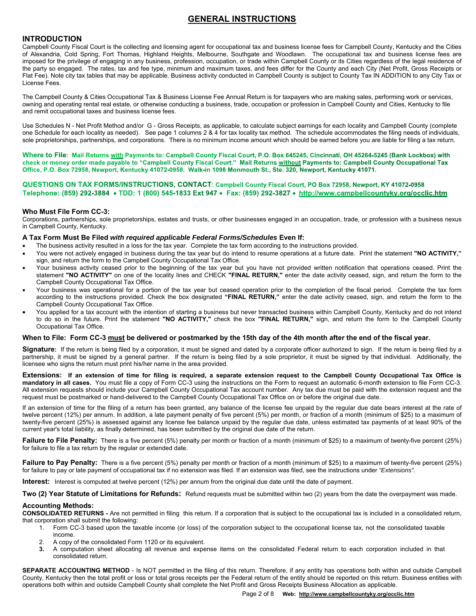# **GENERAL INSTRUCTIONS**

## **INTRODUCTION**

Campbell County Fiscal Court is the collecting and licensing agent for occupational tax and business license fees for Campbell County, Kentucky and the Cities of Alexandria, Cold Spring, Fort Thomas, Highland Heights, Melbourne, Southgate and Woodlawn. The occupational tax and business license fees are imposed for the privilege of engaging in any business, profession, occupation, or trade within Campbell County or its Cities regardless of the legal residence of the party so engaged. The rates, tax and fee type, minimum and maximum taxes, and fees differ for the County and each City (Net Profit, Gross Receipts or Flat Fee). Note city tax tables that may be applicable. Business activity conducted in Campbell County is subject to County Tax IN ADDITION to any City Tax or License Fees.

The Campbell County & Cities Occupational Tax & Business License Fee Annual Return is for taxpayers who are making sales, performing work or services, owning and operating rental real estate, or otherwise conducting a business, trade, occupation or profession in Campbell County and Cities, Kentucky to file and remit occupational taxes and business license fees.

Use Schedules N - Net Profit Method and/or G - Gross Receipts, as applicable, to calculate subject earnings for each locality and Campbell County (complete one Schedule for each locality as needed). See page 1 columns 2 & 4 for tax locality tax method. The schedule accommodates the filing needs of individuals, sole proprietorships, partnerships, and corporations. There is no minimum income amount which should be earned before you are liable for filing a tax return.

Where to File: Mail Returns with Payments to: Campbell County Fiscal Court, P.O. Box 645245, Cincinnati, OH 45264-5245 (Bank Lockbox) with check or money order made payable to "Campbell County Fiscal Court." Mail Returns without Payments to: Campbell County Occupational Tax Office, P.O. Box 72958, Newport, Kentucky 41072-0958. Walk-in 1098 Monmouth St., Ste. 320, Newport, Kentucky 41071.

QUESTIONS ON TAX FORMS/INSTRUCTIONS, CONTACT: Campbell County Fiscal Court, PO Box 72958, Newport, KY 41072-0958 Telephone: (859) 292-3884 • TDD: 1 (800) 545-1833 Ext 947 • Fax: (859) 292-3827 • http://www.campbellcountyky.org/occlic.htm

### **Who Must File Form CC-3:**

Corporations, partnerships, sole proprietorships, estates and trusts, or other businesses engaged in an occupation, trade, or profession with a business nexus in Campbell County, Kentucky.

### **A Tax Form Must Be Filed** *with required applicable Federal Forms/Schedules* **Even If:**

- The business activity resulted in a loss for the tax year. Complete the tax form according to the instructions provided.
- You were not actively engaged in business during the tax year but do intend to resume operations at a future date. Print the statement "NO ACTIVITY," sign, and return the form to the Campbell County Occupational Tax Office.
- Your business activity ceased prior to the beginning of the tax year but you have not provided written notification that operations ceased. Print the statement **"NO ACTIVITY"** on one of the locality lines and CHECK **"FINAL RETURN,"** enter the date activity ceased, sign, and return the form to the Campbell County Occupational Tax Office.
- Your business was operational for a portion of the tax year but ceased operation prior to the completion of the fiscal period. Complete the tax form according to the instructions provided. Check the box designated **"FINAL RETURN,"** enter the date activity ceased, sign, and return the form to the Campbell County Occupational Tax Office.
- You applied for a tax account with the intention of starting a business but never transacted business within Campbell County, Kentucky and do not intend to do so in the future. Print the statement **"NO ACTIVITY,"** check the box **"FINAL RETURN,"** sign, and return the form to the Campbell County Occupational Tax Office.

### **When to File: Form CC-3 must be delivered or postmarked by the 15th day of the 4th month after the end of the fiscal year.**

Signature: If the return is being filed by a corporation, it must be signed and dated by a corporate officer authorized to sign. If the return is being filed by a partnership, it must be signed by a general partner. If the return is being filed by a sole proprietor, it must be signed by that individual. Additionally, the licensee who signs the return must print his/her name in the area provided.

**Extensions: If an extension of time for filing is required, a separate extension request to the Campbell County Occupational Tax Office is mandatory in all cases.** You must file a copy of Form CC-3 using the instructions on the Form to request an automatic 6-month extension to file Form CC-3. All extension requests should include your Campbell County Occupational Tax account number. Any tax due must be paid with the extension request and the request must be postmarked or hand-delivered to the Campbell County Occupational Tax Office on or before the original due date.

If an extension of time for the filing of a return has been granted, any balance of the license fee unpaid by the regular due date bears interest at the rate of twelve percent (12%) per annum. In addition, a late payment penalty of five percent (5%) per month, or fraction of a month (minimum of \$25) to a maximum of twenty-five percent (25%) is assessed against any license fee balance unpaid by the regular due date, unless estimated tax payments of at least 90% of the current year's total liability, as finally determined, has been submitted by the original due date of the return.

Failure to File Penalty: There is a five percent (5%) penalty per month or fraction of a month (minimum of \$25) to a maximum of twenty-five percent (25%) for failure to file a tax return by the regular or extended date.

**Failure to Pay Penalty:** There is a five percent (5%) penalty per month or fraction of a month (minimum of \$25) to a maximum of twenty-five percent (25%) for failure to pay or late payment of occupational tax if no extension was filed. If an extension was filed, see the instructions under *"Extensions"*.

**Interest:** Interest is computed at twelve percent (12%) per annum from the original due date until the date of payment.

**Two (2) Year Statute of Limitations for Refunds:** Refund requests must be submitted within two (2) years from the date the overpayment was made.

### **Accounting Methods:**

**CONSOLIDATED RETURNS -** Are not permitted in filing this return. If a corporation that is subject to the occupational tax is included in a consolidated return, that corporation shall submit the following:

- 1. Form CC-3 based upon the taxable income (or loss) of the corporation subject to the occupational license tax, not the consolidated taxable income.
- 2. A copy of the consolidated Form 1120 or its equivalent.<br>3. A computation sheet allocating all revenue and expe
- **3.** A computation sheet allocating all revenue and expense items on the consolidated Federal return to each corporation included in that consolidated return.

**SEPARATE ACCOUNTING METHOD** - Is NOT permitted in the filing of this return. Therefore, if any entity has operations both within and outside Campbell County, Kentucky then the total profit or loss or total gross receipts per the Federal return of the entity should be reported on this return. Business entities with operations both within and outside Campbell County shall complete the Net Profit and Gross Receipts Business Allocation as applicable.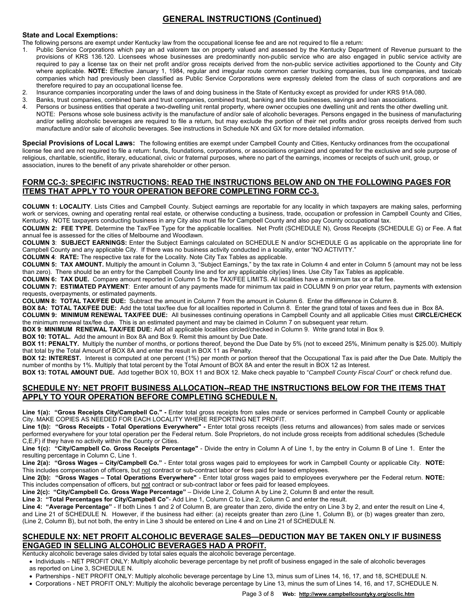# **GENERAL INSTRUCTIONS (Continued)**

### **State and Local Exemptions:**

- The following persons are exempt under Kentucky law from the occupational license fee and are not required to file a return:
- 1. Public Service Corporations which pay an ad valorem tax on property valued and assessed by the Kentucky Department of Revenue pursuant to the provisions of KRS 136.120. Licensees whose businesses are predominantly non-public service who are also engaged in public service activity are required to pay a license tax on their net profit and/or gross receipts derived from the non-public service activities apportioned to the County and City where applicable. **NOTE:** Effective January 1, 1984, regular and irregular route common carrier trucking companies, bus line companies, and taxicab companies which had previously been classified as Public Service Corporations were expressly deleted from the class of such corporations and are therefore required to pay an occupational license fee.
- 2. Insurance companies incorporating under the laws of and doing business in the State of Kentucky except as provided for under KRS 91A.080.
- 3. Banks, trust companies, combined bank and trust companies, combined trust, banking and title businesses, savings and loan associations.
- 4. Persons or business entities that operate a two-dwelling unit rental property, where owner occupies one dwelling unit and rents the other dwelling unit. NOTE: Persons whose sole business activity is the manufacture of and/or sale of alcoholic beverages. Persons engaged in the business of manufacturing and/or selling alcoholic beverages are required to file a return, but may exclude the portion of their net profits and/or gross receipts derived from such manufacture and/or sale of alcoholic beverages. See instructions in Schedule NX and GX for more detailed information.

**Special Provisions of Local Laws:** The following entities are exempt under Campbell County and Cities, Kentucky ordinances from the occupational license fee and are not required to file a return: funds, foundations, corporations, or associations organized and operated for the exclusive and sole purpose of religious, charitable, scientific, literary, educational, civic or fraternal purposes, where no part of the earnings, incomes or receipts of such unit, group, or association, inures to the benefit of any private shareholder or other person.

# **FORM CC-3: SPECIFIC INSTRUCTIONS: READ THE INSTRUCTIONS BELOW AND ON THE FOLLOWING PAGES FOR ITEMS THAT APPLY TO YOUR OPERATION BEFORE COMPLETING FORM CC-3.**

**COLUMN 1: LOCALITY**. Lists Cities and Campbell County. Subject earnings are reportable for any locality in which taxpayers are making sales, performing work or services, owning and operating rental real estate, or otherwise conducting a business, trade, occupation or profession in Campbell County and Cities, Kentucky. NOTE taxpayers conducting business in any City also must file for Campbell County and also pay County occupational tax.

**COLUMN 2: FEE TYPE**. Determine the Tax/Fee Type for the applicable localities. Net Profit (SCHEDULE N), Gross Receipts (SCHEDULE G) or Fee. A flat annual fee is assessed for the cities of Melbourne and Woodlawn.

**COLUMN 3**: **SUBJECT EARNINGS:** Enter the Subject Earnings calculated on SCHEDULE N and/or SCHEDULE G as applicable on the appropriate line for Campbell County and any applicable City. If there was no business activity conducted in a locality, enter "NO ACTIVITY."

**COLUMN 4**: **RATE:** The respective tax rate for the Locality. Note City Tax Tables as applicable.

**COLUMN 5: TAX AMOUNT.** Multiply the amount in Column 3, "Subject Earnings," by the tax rate in Column 4 and enter in Column 5 (amount may not be less than zero). There should be an entry for the Campbell County line and for any applicable city(ies) lines. Use City Tax Tables as applicable.

**COLUMN 6: TAX DUE.** Compare amount reported in Column 5 to the TAX/FEE LIMITS. All localities have a minimum tax or a flat fee.

**COLUMN 7: ESTIMATED PAYMENT**: Enter amount of any payments made for minimum tax paid in COLUMN 9 on prior year return, payments with extension requests, overpayments, or estimated payments.

**COLUMN 8: TOTAL TAX/FEE DUE:** Subtract the amount in Column 7 from the amount in Column 6. Enter the difference in Column 8.

**BOX 8A: TOTAL TAX/FEE DUE:** Add the total tax/fee due for all localities reported in Column 8. Enter the grand total of taxes and fees due in Box 8A. **COLUMN 9: MINIMUM RENEWAL TAX/FEE DUE:** All businesses continuing operations in Campbell County and all applicable Cities must **CIRCLE/CHECK**

the minimum renewal tax/fee due. This is an estimated payment and may be claimed in Column 7 on subsequent year return. **BOX 9**: **MINIMUM RENEWAL TAX/FEE DUE:** Add all applicable localities circled/checked in Column 9. Write grand total in Box 9.

**BOX 10: TOTAL.** Add the amount in Box 8A and Box 9. Remit this amount by Due Date.

**BOX 11: PENALTY.** Multiply the number of months, or portions thereof, beyond the Due Date by 5% (not to exceed 25%, Minimum penalty is \$25.00). Multiply that total by the Total Amount of BOX 8A and enter the result in BOX 11 as Penalty.

**BOX 12: INTEREST.** Interest is computed at one percent (1%) per month or portion thereof that the Occupational Tax is paid after the Due Date. Multiply the number of months by 1%. Multiply that total percent by the Total Amount of BOX 8A and enter the result in BOX 12 as Interest.

**BOX 13: TOTAL AMOUNT DUE.** Add together BOX 10, BOX 11 and BOX 12. Make check payable to "*Campbell County Fiscal Court*" or check refund due.

# **SCHEDULE NY: NET PROFIT BUSINESS ALLOCATION--READ THE INSTRUCTIONS BELOW FOR THE ITEMS THAT APPLY TO YOUR OPERATION BEFORE COMPLETING SCHEDULE N.**

**Line 1(a): "Gross Receipts City/Campbell Co." -** Enter total gross receipts from sales made or services performed in Campbell County or applicable City. MAKE COPIES AS NEEDED FOR EACH LOCALITY WHERE REPORTING NET PROFIT.

Line 1(b): "Gross Receipts - Total Operations Everywhere" - Enter total gross receipts (less returns and allowances) from sales made or services performed everywhere for your total operation per the Federal return. Sole Proprietors, do not include gross receipts from additional schedules (Schedule C,E,F) if they have no activity within the County or Cities.

**Line 1(c): "City/Campbell Co. Gross Receipts Percentage"** - Divide the entry in Column A of Line 1, by the entry in Column B of Line 1. Enter the resulting percentage in Column C, Line 1.

**Line 2(a): "Gross Wages – City/Campbell Co."** - Enter total gross wages paid to employees for work in Campbell County or applicable City. **NOTE:**  This includes compensation of officers, but not contract or sub-contract labor or fees paid for leased employees.

**Line 2(b): "Gross Wages – Total Operations Everywhere"** - Enter total gross wages paid to employees everywhere per the Federal return. **NOTE:** This includes compensation of officers, but not contract or sub-contract labor or fees paid for leased employees.

**Line 2(c): "City/Campbell Co. Gross Wage Percentage"** – Divide Line 2, Column A by Line 2, Column B and enter the result.

**Line 3: "Total Percentages for City/Campbell Co"**- Add Line 1, Column C to Line 2, Column C and enter the result.

**Line 4: "Average Percentage"** - If both Lines 1 and 2 of Column B, are greater than zero, divide the entry on Line 3 by 2, and enter the result on Line 4, and Line 21 of SCHEDULE N. However, if the business had either: (a) receipts greater than zero (Line 1, Column B), or (b) wages greater than zero, (Line 2, Column B), but not both, the entry in Line 3 should be entered on Line 4 and on Line 21 of SCHEDULE N.

### **SCHEDULE NX: NET PROFIT ALCOHOLIC BEVERAGE SALES—DEDUCTION MAY BE TAKEN ONLY IF BUSINESS ENGAGED IN SELLING ALCOHOLIC BEVERAGES HAD A PROFIT.**

Kentucky alcoholic beverage sales divided by total sales equals the alcoholic beverage percentage.

• Individuals – NET PROFIT ONLY: Multiply alcoholic beverage percentage by net profit of business engaged in the sale of alcoholic beverages as reported on Line 3, SCHEDULE N.

Partnerships - NET PROFIT ONLY: Multiply alcoholic beverage percentage by Line 13, minus sum of Lines 14, 16, 17, and 18, SCHEDULE N.

Corporations - NET PROFIT ONLY: Multiply the alcoholic beverage percentage by Line 13, minus the sum of Lines 14, 16, and 17, SCHEDULE N.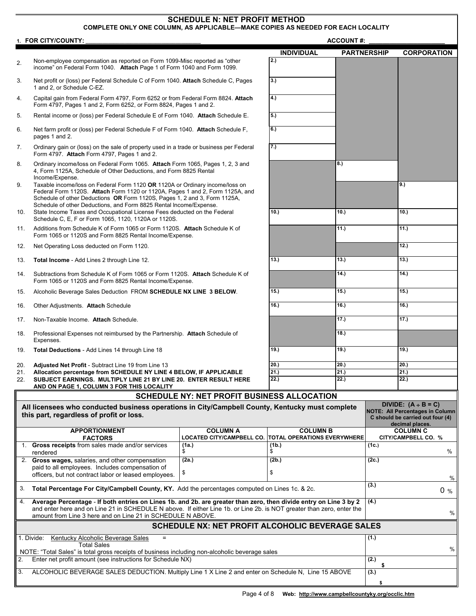### **SCHEDULE N: NET PROFIT METHOD COMPLETE ONLY ONE COLUMN, AS APPLICABLE—MAKE COPIES AS NEEDED FOR EACH LOCALITY 1. FOR CITY/COUNTY:** the contract of the contract of the contract of the contract of the contract of the contract of the contract of the contract of the contract of the contract of the contract of the contract of the cont **INDIVIDUAL PARTNERSHIP CORPORATION** 2. Non-employee compensation as reported on Form 1099-Misc reported as "other income" on Federal Form 1040. **Attach** Page 1 of Form 1040 and Form 1099. **2.)**  3. Net profit or (loss) per Federal Schedule C of Form 1040. **Attach** Schedule C, Pages 1 and 2, or Schedule C-EZ. **3.)**  4. Capital gain from Federal Form 4797, Form 6252 or from Federal Form 8824. **Attach** Form 4797, Pages 1 and 2, Form 6252, or Form 8824, Pages 1 and 2. **4.)**  5. Rental income or (loss) per Federal Schedule E of Form 1040. **Attach** Schedule E. **5.)**  6. Net farm profit or (loss) per Federal Schedule F of Form 1040. **Attach** Schedule F, pages 1 and 2. **6.)**  7. Ordinary gain or (loss) on the sale of property used in a trade or business per Federal Form 4797. **Attach** Form 4797, Pages 1 and 2. **7.)**  8. Ordinary income/loss on Federal Form 1065. **Attach** Form 1065, Pages 1, 2, 3 and 4, Form 1125A, Schedule of Other Deductions, and Form 8825 Rental Income/Expense.  **8.)**  9. Taxable income/loss on Federal Form 1120 **OR** 1120A or Ordinary income/loss on Federal Form 1120S. **Attach** Form 1120 or 1120A, Pages 1 and 2, Form 1125A, and Schedule of other Deductions **OR** Form 1120S, Pages 1, 2 and 3, Form 1125A, Schedule of other Deductions, and Form 8825 Rental lncome/Expense. **9.)**  10. State Income Taxes and Occupational License Fees deducted on the Federal Schedule C, E, F or Form 1065, 1120, 1120A or 1120S. **10.) 10.) 10.)**  11. Additions from Schedule K of Form 1065 or Form 1120S. **Attach** Schedule K of Form 1065 or 1120S and Form 8825 Rental Income/Expense. **11.) 11.)**

- 12. Net Operating Loss deducted on Form 1120. **12.)**
- 13. **Total Income** Add Lines 2 through Line 12. **13.) 13.) 13.)**
- 14. Subtractions from Schedule K of Form 1065 or Form 1120S. **Attach** Schedule K of Form 1065 or 1120S and Form 8825 Rental Income/Expense.
- 15. Alcoholic Beverage Sales Deduction FROM **SCHEDULE NX LINE 3 BELOW**. **15.) 15.) 15.)**
- 16. Other Adjustments. **Attach** Schedule **16.) 16.) 16.)**
- 17. Non-Taxable Income. **Attach** Schedule. **17.) 17.)**
- 18. Professional Expenses not reimbursed by the Partnership. **Attach** Schedule of Expenses.
- 19. **Total Deductions** Add Lines 14 through Line 18 **19.) 19.) 19.)**

- 20. **Adjusted Net Profit** Subtract Line 19 from Line 13 **20. 20. 20. 20. 20. 20. 20. 21. 21. 21. 21. 21. 21. 21. 21. 21. 21. 21. 21. 21. 21. 21. 21. 21. 21. 21. 21. 2** 21. **Allocation percentage from SCHEDULE NY LINE 4 BELOW, IF APPLICABLE 21.) 21.) 21.)**
- 22. **SUBJECT EARNINGS. MULTIPLY LINE 21 BY LINE 20. ENTER RESULT HERE**

**AND ON PAGE 1, COLUMN 3 FOR THIS LOCALITY** 

# **SCHEDULE NY: NET PROFIT BUSINESS ALLOCATION**

|                                                                                                                                                                    | All licensees who conducted business operations in City/Campbell County, Kentucky must complete<br>this part, regardless of profit or loss.                                                                                                                                                               |                                                     |                                                       | DIVIDE: $(A + B = C)$<br><b>NOTE: All Percentages in Column</b><br>C should be carried out four (4)<br>decimal places. |  |  |
|--------------------------------------------------------------------------------------------------------------------------------------------------------------------|-----------------------------------------------------------------------------------------------------------------------------------------------------------------------------------------------------------------------------------------------------------------------------------------------------------|-----------------------------------------------------|-------------------------------------------------------|------------------------------------------------------------------------------------------------------------------------|--|--|
|                                                                                                                                                                    | <b>APPORTIONMENT</b><br><b>FACTORS</b>                                                                                                                                                                                                                                                                    | <b>COLUMN A</b><br><b>LOCATED CITY/CAMPBELL CO.</b> | <b>COLUMN B</b><br><b>TOTAL OPERATIONS EVERYWHERE</b> | <b>COLUMN C</b><br>CITY/CAMPBELL CO. %                                                                                 |  |  |
|                                                                                                                                                                    | 1. Gross receipts from sales made and/or services<br>rendered                                                                                                                                                                                                                                             | (1a.)                                               | (1b.)                                                 | (1c.)<br>$\frac{0}{0}$                                                                                                 |  |  |
| 2.                                                                                                                                                                 | Gross wages, salaries, and other compensation<br>paid to all employees. Includes compensation of<br>officers, but not contract labor or leased employees.                                                                                                                                                 | (2a.)<br>S                                          | (2b.)                                                 | (2c.)<br>%                                                                                                             |  |  |
| 3.                                                                                                                                                                 | Total Percentage For City/Campbell County, KY. Add the percentages computed on Lines 1c. & 2c.                                                                                                                                                                                                            | (3.)<br>$0\%$                                       |                                                       |                                                                                                                        |  |  |
| 4.                                                                                                                                                                 | Average Percentage - If both entries on Lines 1b. and 2b. are greater than zero, then divide entry on Line 3 by 2<br>and enter here and on Line 21 in SCHEDULE N above. If either Line 1b. or Line 2b. is NOT greater than zero, enter the<br>amount from Line 3 here and on Line 21 in SCHEDULE N ABOVE. | (4.)<br>%                                           |                                                       |                                                                                                                        |  |  |
|                                                                                                                                                                    | <b>SCHEDULE NX: NET PROFIT ALCOHOLIC BEVERAGE SALES</b>                                                                                                                                                                                                                                                   |                                                     |                                                       |                                                                                                                        |  |  |
|                                                                                                                                                                    | 1. Divide:<br>Kentucky Alcoholic Beverage Sales<br>$=$<br><b>Total Sales</b>                                                                                                                                                                                                                              |                                                     |                                                       | (1.)<br>$\%$                                                                                                           |  |  |
| NOTE: "Total Sales" is total gross receipts of business including non-alcoholic beverage sales<br>Enter net profit amount (see instructions for Schedule NX)<br>2. |                                                                                                                                                                                                                                                                                                           |                                                     |                                                       | (2.)                                                                                                                   |  |  |
| 3.                                                                                                                                                                 | ALCOHOLIC BEVERAGE SALES DEDUCTION. Multiply Line 1 X Line 2 and enter on Schedule N, Line 15 ABOVE                                                                                                                                                                                                       | (3.)                                                |                                                       |                                                                                                                        |  |  |

 **14.) 14.)** 

 **18.)** 

**22.) 22.) 22.)**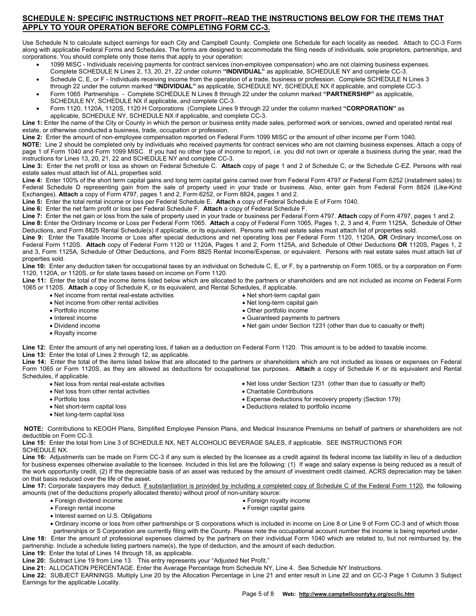# **SCHEDULE N: SPECIFIC INSTRUCTIONS NET PROFIT--READ THE INSTRUCTIONS BELOW FOR THE ITEMS THAT APPLY TO YOUR OPERATION BEFORE COMPLETING FORM CC-3.**

Use Schedule N to calculate subject earnings for each City and Campbell County. Complete one Schedule for each locality as needed. Attach to CC-3 Form along with applicable Federal Forms and Schedules. The forms are designed to accommodate the filing needs of individuals, sole proprietors, partnerships, and corporations. You should complete only those items that apply to your operation:

- 1099 MISC Individuals receiving payments for contract services (non-employee compensation) who are not claiming business expenses. Complete SCHEDULE N Lines 2, 13, 20, 21, 22 under column **"INDIVIDUAL"** as applicable, SCHEDULE NY and complete CC-3.
- Schedule C, E, or F Individuals receiving income from the operation of a trade, business or profession. Complete SCHEDULE N Lines 3 through 22 under the column marked **"INDIVIDUAL"** as applicable, SCHEDULE NY, SCHEDULE NX if applicable, and complete CC-3.
- Form 1065 Partnerships Complete SCHEDULE N Lines 8 through 22 under the column marked **"PARTNERSHIP"** as applicable, SCHEDULE NY, SCHEDULE NX if applicable, and complete CC-3.
- Form 1120, 1120A, 1120S, 1120 H Corporations (Complete Lines 9 through 22 under the column marked **"CORPORATION"** as applicable, SCHEDULE NY, SCHEDULE NX if applicable, and complete CC-3.

**Line 1:** Enter the name of the City or County in which the person or business entity made sales, performed work or services, owned and operated rental real estate, or otherwise conducted a business, trade, occupation or profession.

**Line 2:** Enter the amount of non-employee compensation reported on Federal Form 1099 MISC or the amount of other income per Form 1040.

**NOTE:** Line 2 should be completed only by individuals who received payments for contract services who are not claiming business expenses. Attach a copy of page 1 of Form 1040 and Form 1099 MISC. If you had no other type of income to report, i.e. you did not own or operate a business during the year, read the instructions for Lines 13, 20, 21, 22 and SCHEDULE NY and complete CC-3.

**Line 3:** Enter the net profit or loss as shown on Federal Schedule C. **Attach** copy of page 1 and 2 of Schedule C, or the Schedule C-EZ. Persons with real estate sales must attach list of ALL properties sold.

**Line 4:** Enter 100% of the short term capital gains and long term capital gains carried over from Federal Form 4797 or Federal Form 6252 (installment sales) to Federal Schedule D representing gain from the sale of property used in your trade or business. Also, enter gain from Federal Form 8824 (Like-Kind Exchanges). **Attach** a copy of Form 4797, pages 1 and 2, Form 6252, or Form 8824, pages 1 and 2.

**Line 5:** Enter the total rental income or loss per Federal Schedule E. **Attach** a copy of Federal Schedule E of Form 1040.

**Line 6:** Enter the net farm profit or loss per Federal Schedule F. **Attach** a copy of Federal Schedule F.

**Line 7:** Enter the net gain or loss from the sale of property used in your trade or business per Federal Form 4797. **Attach** copy of Form 4797, pages 1 and 2. **Line 8:** Enter the Ordinary Income or Loss per Federal Form 1065. **Attach** a copy of Federal Form 1065, Pages 1, 2, 3 and 4, Form 1125A, Schedule of Other Deductions, and Form 8825 Rental Schedule(s) if applicable, or its equivalent. Persons with real estate sales must attach list of properties sold.

**Line 9:** Enter the Taxable Income or Loss after special deductions and net operating loss per Federal Form 1120, 1120A, **OR** Ordinary Income/Loss on Federal Form 1120S. **Attach** copy of Federal Form 1120 or 1120A, Pages 1 and 2, Form 1125A, and Schedule of Other Deductions **OR** 1120S, Pages 1, 2 and 3, Form 1125A, Schedule of Other Deductions, and Form 8825 Rental Income/Expense, or equivalent. Persons with real estate sales must attach list of properties sold.

**Line 10:** Enter any deduction taken for occupational taxes by an individual on Schedule C, E, or F, by a partnership on Form 1065, or by a corporation on Form 1120, 1120A, or 1120S, or for state taxes based on income on Form 1120.

**Line 11:** Enter the total of the income items listed below which are allocated to the partners or shareholders and are not included as income on Federal Form 1065 or 1120S. **Attach** a copy of Schedule K, or its equivalent, and Rental Schedules, if applicable.

- Net income from rental real-estate activities
- Net income from other rental activities
- Portfolio income
- Interest income
- Dividend income
- Royalty income
- 

**Line 12:** Enter the amount of any net operating loss, if taken as a deduction on Federal Form 1120. This amount is to be added to taxable income. **Line 13:** Enter the total of Lines 2 through 12, as applicable.

**Line 14:** Enter the total of the items listed below that are allocated to the partners or shareholders which are not included as losses or expenses on Federal Form 1065 or Form 1120S, as they are allowed as deductions for occupational tax purposes. **Attach** a copy of Schedule K or its equivalent and Rental Schedules, if applicable.

- Net loss from rental real-estate activities
- Net loss from other rental activities
- Portfolio loss
- Net short-term capital loss
- Net loss under Section 1231 (other than due to casualty or theft)
- 
- Charitable Contributions Expense deductions for recovery property (Section 179)
- Deductions related to portfolio income
- Net long-term capital loss
- **NOTE:** Contributions to KEOGH Plans, Simplified Employee Pension Plans, and Medical Insurance Premiums on behalf of partners or shareholders are not deductible on Form CC-3.

**Line 15:** Enter the total from Line 3 of SCHEDULE NX, NET ALCOHOLIC BEVERAGE SALES, if applicable. SEE INSTRUCTIONS FOR SCHEDULE NX.

**Line 16:** Adjustments can be made on Form CC-3 if any sum is elected by the licensee as a credit against its federal income tax liability in lieu of a deduction for business expenses otherwise available to the licensee. Included in this list are the following: (1) If wage and salary expense is being reduced as a result of the work opportunity credit, (2) If the depreciable basis of an asset was reduced by the amount of investment credit claimed, ACRS depreciation may be taken on that basis reduced over the life of the asset.

Line 17: Corporate taxpayers may deduct, if substantiation is provided by including a completed copy of Schedule C of the Federal Form 1120, the following amounts (net of the deductions properly allocated thereto) without proof of non-unitary source:

- Foreign dividend income Foreign royalty income
	-
- 
- Foreign rental income Foreign capital gains
- Interest earned on U.S. Obligations
- Ordinary income or loss from other partnerships or S corporations which is included in income on Line 8 or Line 9 of Form CC-3 and of which those partnerships or S Corporation are currently filing with the County. Please note the occupational account number the income is being reported under.

**Line 18:** Enter the amount of professional expenses claimed by the partners on their individual Form 1040 which are related to, but not reimbursed by, the partnership. Include a schedule listing partners name(s), the type of deduction, and the amount of each deduction.

**Line 19:** Enter the total of Lines 14 through 18, as applicable.

**Line 20:** Subtract Line 19 from Line 13. This entry represents your "Adjusted Net Profit."

**Line 21:** ALLOCATION PERCENTAGE. Enter the Average Percentage from Schedule NY, Line 4. See Schedule NY Instructions.

**Line 22:** SUBJECT EARNINGS. Multiply Line 20 by the Allocation Percentage in Line 21 and enter result in Line 22 and on CC-3 Page 1 Column 3 Subject Earnings for the applicable Locality.

 Other portfolio income Guaranteed payments to partners

• Net short-term capital gain Net long-term capital gain

Net gain under Section 1231 (other than due to casualty or theft)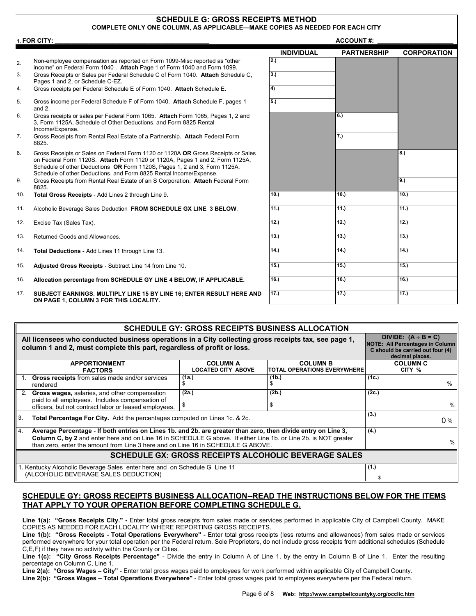### **SCHEDULE G: GROSS RECEIPTS METHOD COMPLETE ONLY ONE COLUMN, AS APPLICABLE—MAKE COPIES AS NEEDED FOR EACH CITY**

|                | 1. FOR CITY:                                                                                                                                                                                                                                                                                                        | <b>ACCOUNT#:</b>  |                    |                    |
|----------------|---------------------------------------------------------------------------------------------------------------------------------------------------------------------------------------------------------------------------------------------------------------------------------------------------------------------|-------------------|--------------------|--------------------|
|                |                                                                                                                                                                                                                                                                                                                     | <b>INDIVIDUAL</b> | <b>PARTNERSHIP</b> | <b>CORPORATION</b> |
| 2.             | Non-employee compensation as reported on Form 1099-Misc reported as "other<br>income" on Federal Form 1040. Attach Page 1 of Form 1040 and Form 1099.                                                                                                                                                               | 2.)               |                    |                    |
| 3.             | Gross Receipts or Sales per Federal Schedule C of Form 1040. Attach Schedule C.<br>Pages 1 and 2, or Schedule C-EZ.                                                                                                                                                                                                 | 3.)               |                    |                    |
| 4.             | Gross receipts per Federal Schedule E of Form 1040. Attach Schedule E.                                                                                                                                                                                                                                              | $\overline{4}$    |                    |                    |
| 5.             | Gross income per Federal Schedule F of Form 1040. Attach Schedule F, pages 1<br>and $2$ .                                                                                                                                                                                                                           | 5.)               |                    |                    |
| 6.             | Gross receipts or sales per Federal Form 1065. Attach Form 1065, Pages 1, 2 and<br>3, Form 1125A, Schedule of Other Deductions, and Form 8825 Rental<br>Income/Expense.                                                                                                                                             |                   | 6.)                |                    |
| 7 <sub>1</sub> | Gross Receipts from Rental Real Estate of a Partnership. Attach Federal Form<br>8825.                                                                                                                                                                                                                               |                   | 7.)                |                    |
| 8.             | Gross Receipts or Sales on Federal Form 1120 or 1120A OR Gross Receipts or Sales<br>on Federal Form 1120S. Attach Form 1120 or 1120A, Pages 1 and 2, Form 1125A,<br>Schedule of other Deductions OR Form 1120S, Pages 1, 2 and 3, Form 1125A,<br>Schedule of other Deductions, and Form 8825 Rental Income/Expense. |                   |                    | 8.                 |
| 9.             | Gross Receipts from Rental Real Estate of an S Corporation. Attach Federal Form<br>8825.                                                                                                                                                                                                                            |                   |                    | 9.)                |
| 10.            | Total Gross Receipts - Add Lines 2 through Line 9.                                                                                                                                                                                                                                                                  | 10.               | 10.                | $\overline{10.}$   |
| 11.            | Alcoholic Beverage Sales Deduction FROM SCHEDULE GX LINE 3 BELOW.                                                                                                                                                                                                                                                   | 11.               | 11.)               | 11.)               |
| 12.            | Excise Tax (Sales Tax).                                                                                                                                                                                                                                                                                             | 12.)              | 12.)               | $\overline{12}$ .) |
| 13.            | Returned Goods and Allowances.                                                                                                                                                                                                                                                                                      | 13.               | 13.                | 13.)               |
| 14.            | Total Deductions - Add Lines 11 through Line 13.                                                                                                                                                                                                                                                                    | 14.               | 14.                | 14.                |
| 15.            | Adjusted Gross Receipts - Subtract Line 14 from Line 10.                                                                                                                                                                                                                                                            | 15.)              | 15.)               | 15.                |
| 16.            | Allocation percentage from SCHEDULE GY LINE 4 BELOW, IF APPLICABLE.                                                                                                                                                                                                                                                 | 16.               | 16.                | 16.)               |
| 17.            | SUBJECT EARNINGS. MULTIPLY LINE 15 BY LINE 16; ENTER RESULT HERE AND<br>ON PAGE 1, COLUMN 3 FOR THIS LOCALITY.                                                                                                                                                                                                      | 17.)              | 17.                | 17.                |
|                |                                                                                                                                                                                                                                                                                                                     |                   |                    |                    |

| <b>SCHEDULE GY: GROSS RECEIPTS BUSINESS ALLOCATION</b>                                                          |                                                                                                                                                                                |                                                                                                                           |                                    |                 |  |
|-----------------------------------------------------------------------------------------------------------------|--------------------------------------------------------------------------------------------------------------------------------------------------------------------------------|---------------------------------------------------------------------------------------------------------------------------|------------------------------------|-----------------|--|
|                                                                                                                 | All licensees who conducted business operations in a City collecting gross receipts tax, see page 1,<br>column 1 and 2, must complete this part, regardless of profit or loss. | DIVIDE: $(A \div B = C)$<br><b>NOTE: All Percentages in Column</b><br>C should be carried out four (4)<br>decimal places. |                                    |                 |  |
|                                                                                                                 | <b>APPORTIONMENT</b>                                                                                                                                                           | <b>COLUMN A</b>                                                                                                           | <b>COLUMN B</b>                    | <b>COLUMN C</b> |  |
|                                                                                                                 | <b>FACTORS</b>                                                                                                                                                                 | <b>LOCATED CITY ABOVE</b>                                                                                                 | <b>TOTAL OPERATIONS EVERYWHERE</b> | CITY %          |  |
|                                                                                                                 | <b>Gross receipts</b> from sales made and/or services                                                                                                                          | (1a.)                                                                                                                     | (1b.)                              | (1c.)           |  |
|                                                                                                                 | rendered                                                                                                                                                                       | SS.                                                                                                                       |                                    | $\%$            |  |
|                                                                                                                 | Gross wages, salaries, and other compensation                                                                                                                                  | (2a.)                                                                                                                     | (2b.)                              | (2c.)           |  |
|                                                                                                                 | paid to all employees. Includes compensation of                                                                                                                                |                                                                                                                           |                                    |                 |  |
|                                                                                                                 | officers, but not contract labor or leased employees.                                                                                                                          | \$                                                                                                                        |                                    | $\%$            |  |
| 3.                                                                                                              | Total Percentage For City. Add the percentages computed on Lines 1c. & 2c.                                                                                                     | (3.)<br>0%                                                                                                                |                                    |                 |  |
| 4.                                                                                                              | Average Percentage - If both entries on Lines 1b. and 2b. are greater than zero, then divide entry on Line 3,                                                                  | (4.)                                                                                                                      |                                    |                 |  |
| Column C, by 2 and enter here and on Line 16 in SCHEDULE G above. If either Line 1b. or Line 2b. is NOT greater |                                                                                                                                                                                |                                                                                                                           |                                    |                 |  |
|                                                                                                                 | than zero, enter the amount from Line 3 here and on Line 16 in SCHEDULE G ABOVE.                                                                                               | $\%$                                                                                                                      |                                    |                 |  |
| <b>SCHEDULE GX: GROSS RECEIPTS ALCOHOLIC BEVERAGE SALES</b>                                                     |                                                                                                                                                                                |                                                                                                                           |                                    |                 |  |
|                                                                                                                 | 1. Kentucky Alcoholic Beverage Sales enter here and on Schedule G Line 11                                                                                                      | (1.)                                                                                                                      |                                    |                 |  |
| (ALCOHOLIC BEVERAGE SALES DEDUCTION)                                                                            |                                                                                                                                                                                |                                                                                                                           |                                    |                 |  |

# **SCHEDULE GY: GROSS RECEIPTS BUSINESS ALLOCATION--READ THE INSTRUCTIONS BELOW FOR THE ITEMS THAT APPLY TO YOUR OPERATION BEFORE COMPLETING SCHEDULE G.**

**Line 1(a): "Gross Receipts City." -** Enter total gross receipts from sales made or services performed in applicable City of Campbell County. MAKE COPIES AS NEEDED FOR EACH LOCALITY WHERE REPORTING GROSS RECEIPTS.

Line 1(b): "Gross Receipts - Total Operations Everywhere" - Enter total gross receipts (less returns and allowances) from sales made or services performed everywhere for your total operation per the Federal return. Sole Proprietors, do not include gross receipts from additional schedules (Schedule C,E,F) if they have no activity within the County or Cities.

**Line 1(c): "City Gross Receipts Percentage"** - Divide the entry in Column A of Line 1, by the entry in Column B of Line 1. Enter the resulting percentage on Column C, Line 1.

**Line 2(a): "Gross Wages – City"** - Enter total gross wages paid to employees for work performed within applicable City of Campbell County. **Line 2(b): "Gross Wages – Total Operations Everywhere"** - Enter total gross wages paid to employees everywhere per the Federal return.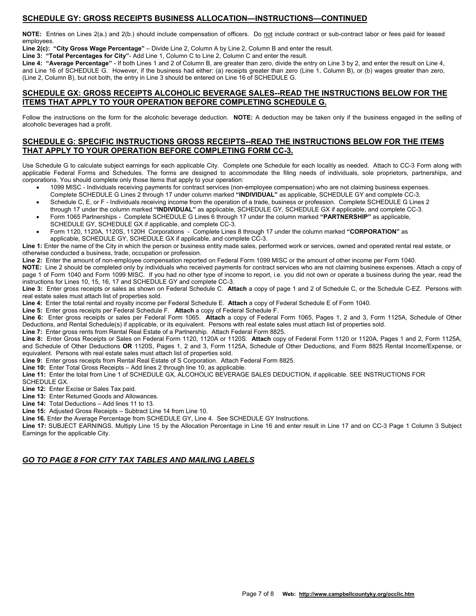# **SCHEDULE GY: GROSS RECEIPTS BUSINESS ALLOCATION—INSTRUCTIONS—CONTINUED**

**NOTE:** Entries on Lines 2(a.) and 2(b.) should include compensation of officers. Do not include contract or sub-contract labor or fees paid for leased employees.

**Line 2(c): "City Gross Wage Percentage"** – Divide Line 2, Column A by Line 2, Column B and enter the result.

**Line 3: "Total Percentages for City"**- Add Line 1, Column C to Line 2, Column C and enter the result.

**Line 4: "Average Percentage"** - If both Lines 1 and 2 of Column B, are greater than zero, divide the entry on Line 3 by 2, and enter the result on Line 4, and Line 16 of SCHEDULE G. However, if the business had either: (a) receipts greater than zero (Line 1, Column B), or (b) wages greater than zero, (Line 2, Column B), but not both, the entry in Line 3 should be entered on Line 16 of SCHEDULE G.

### **SCHEDULE GX: GROSS RECEIPTS ALCOHOLIC BEVERAGE SALES--READ THE INSTRUCTIONS BELOW FOR THE ITEMS THAT APPLY TO YOUR OPERATION BEFORE COMPLETING SCHEDULE G.**

Follow the instructions on the form for the alcoholic beverage deduction. **NOTE:** A deduction may be taken only if the business engaged in the selling of alcoholic beverages had a profit.

# **SCHEDULE G: SPECIFIC INSTRUCTIONS GROSS RECEIPTS--READ THE INSTRUCTIONS BELOW FOR THE ITEMS THAT APPLY TO YOUR OPERATION BEFORE COMPLETING FORM CC-3.**

Use Schedule G to calculate subject earnings for each applicable City. Complete one Schedule for each locality as needed. Attach to CC-3 Form along with applicable Federal Forms and Schedules. The forms are designed to accommodate the filing needs of individuals, sole proprietors, partnerships, and corporations. You should complete only those items that apply to your operation:

- 1099 MISC Individuals receiving payments for contract services (non-employee compensation) who are not claiming business expenses.
- Complete SCHEDULE G Lines 2 through 17 under column marked **"INDIVIDUAL"** as applicable, SCHEDULE GY and complete CC-3. Schedule C, E, or F - Individuals receiving income from the operation of a trade, business or profession. Complete SCHEDULE G Lines 2
- through 17 under the column marked **"INDIVIDUAL"** as applicable, SCHEDULE GY, SCHEDULE GX if applicable, and complete CC-3. Form 1065 Partnerships - Complete SCHEDULE G Lines 6 through 17 under the column marked **"PARTNERSHIP"** as applicable, SCHEDULE GY, SCHEDULE GX if applicable, and complete CC-3.
- Form 1120, 1120A, 1120S, 1120H Corporations Complete Lines 8 through 17 under the column marked **"CORPORATION"** as applicable, SCHEDULE GY, SCHEDULE GX if applicable, and complete CC-3.

**Line 1:** Enter the name of the City in which the person or business entity made sales, performed work or services, owned and operated rental real estate, or otherwise conducted a business, trade, occupation or profession.

**Line 2:** Enter the amount of non-employee compensation reported on Federal Form 1099 MISC or the amount of other income per Form 1040.

**NOTE:** Line 2 should be completed only by individuals who received payments for contract services who are not claiming business expenses. Attach a copy of page 1 of Form 1040 and Form 1099 MISC. If you had no other type of income to report, i.e. you did not own or operate a business during the year, read the instructions for Lines 10, 15, 16, 17 and SCHEDULE GY and complete CC-3.

**Line 3:** Enter gross receipts or sales as shown on Federal Schedule C. **Attach** a copy of page 1 and 2 of Schedule C, or the Schedule C-EZ. Persons with real estate sales must attach list of properties sold.

**Line 4:** Enter the total rental and royalty income per Federal Schedule E. **Attach** a copy of Federal Schedule E of Form 1040.

**Line 5:** Enter gross receipts per Federal Schedule F. **Attach** a copy of Federal Schedule F.

**Line 6:** Enter gross receipts or sales per Federal Form 1065. **Attach** a copy of Federal Form 1065, Pages 1, 2 and 3, Form 1125A, Schedule of Other Deductions, and Rental Schedule(s) if applicable, or its equivalent. Persons with real estate sales must attach list of properties sold.

**Line 7:** Enter gross rents from Rental Real Estate of a Partnership. Attach Federal Form 8825.

**Line 8:** Enter Gross Receipts or Sales on Federal Form 1120, 1120A or 1120S. **Attach** copy of Federal Form 1120 or 1120A, Pages 1 and 2, Form 1125A, and Schedule of Other Deductions **OR** 1120S, Pages 1, 2 and 3, Form 1125A, Schedule of Other Deductions, and Form 8825 Rental Income/Expense, or equivalent. Persons with real estate sales must attach list of properties sold.

**Line 9:** Enter gross receipts from Rental Real Estate of S Corporation. Attach Federal Form 8825.

**Line 10:** Enter Total Gross Receipts – Add lines 2 through line 10, as applicable.

**Line 11:** Enter the total from Line 1 of SCHEDULE GX, ALCOHOLIC BEVERAGE SALES DEDUCTION, if applicable. SEE INSTRUCTIONS FOR SCHEDULE GX.

**Line 12:** Enter Excise or Sales Tax paid.

**Line 13:** Enter Returned Goods and Allowances.

**Line 14:** Total Deductions – Add lines 11 to 13.

**Line 15:** Adjusted Gross Receipts – Subtract Line 14 from Line 10.

**Line 16.** Enter the Average Percentage from SCHEDULE GY, Line 4. See SCHEDULE GY Instructions.

**Line 17:** SUBJECT EARNINGS. Multiply Line 15 by the Allocation Percentage in Line 16 and enter result in Line 17 and on CC-3 Page 1 Column 3 Subject Earnings for the applicable City.

# *GO TO PAGE 8 FOR CITY TAX TABLES AND MAILING LABELS*